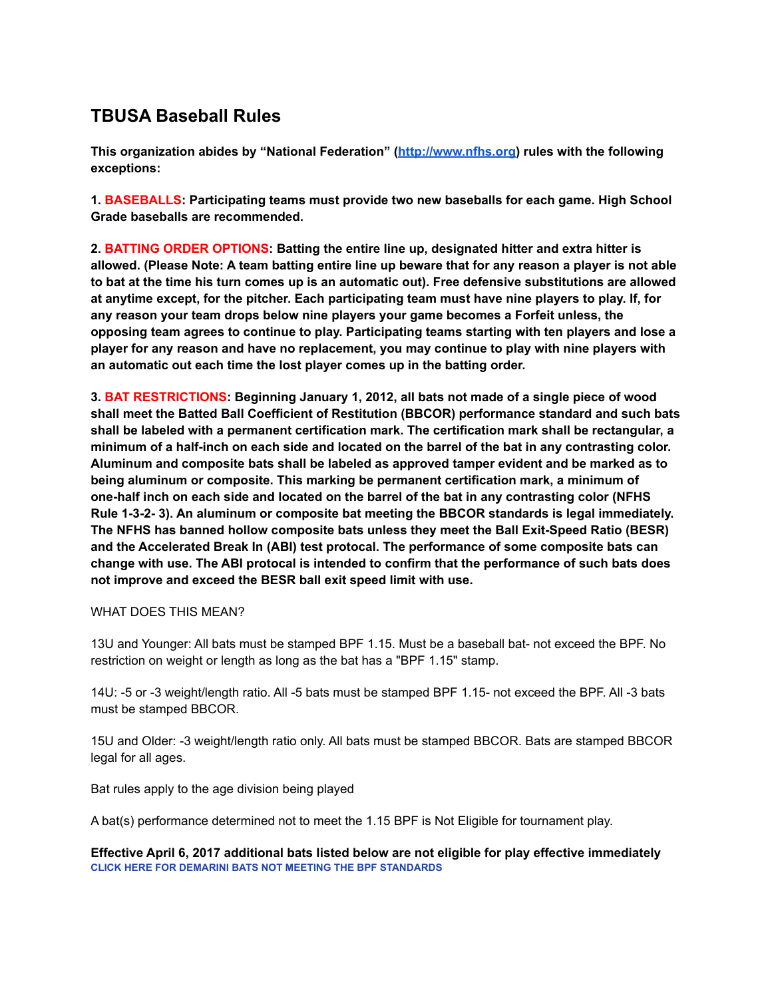# **TBUSA Baseball Rules**

**This organization abides by "National Federation" (<http://www.nfhs.org>) rules with the following exceptions:**

**1. BASEBALLS: Participating teams must provide two new baseballs for each game. High School Grade baseballs are recommended.**

**2. BATTING ORDER OPTIONS: Batting the entire line up, designated hitter and extra hitter is** allowed. (Please Note: A team batting entire line up beware that for any reason a player is not able to bat at the time his turn comes up is an automatic out). Free defensive substitutions are allowed **at anytime except, for the pitcher. Each participating team must have nine players to play. If, for any reason your team drops below nine players your game becomes a Forfeit unless, the opposing team agrees to continue to play. Participating teams starting with ten players and lose a player for any reason and have no replacement, you may continue to play with nine players with an automatic out each time the lost player comes up in the batting order.**

**3. BAT RESTRICTIONS: Beginning January 1, 2012, all bats not made of a single piece of wood shall meet the Batted Ball Coefficient of Restitution (BBCOR) performance standard and such bats shall be labeled with a permanent certification mark. The certification mark shall be rectangular, a** minimum of a half-inch on each side and located on the barrel of the bat in any contrasting color. **Aluminum and composite bats shall be labeled as approved tamper evident and be marked as to being aluminum or composite. This marking be permanent certification mark, a minimum of one-half inch on each side and located on the barrel of the bat in any contrasting color (NFHS Rule 1-3-2- 3). An aluminum or composite bat meeting the BBCOR standards is legal immediately. The NFHS has banned hollow composite bats unless they meet the Ball Exit-Speed Ratio (BESR) and the Accelerated Break In (ABI) test protocal. The performance of some composite bats can change with use. The ABI protocal is intended to confirm that the performance of such bats does not improve and exceed the BESR ball exit speed limit with use.**

### WHAT DOES THIS MEAN?

13U and Younger: All bats must be stamped BPF 1.15. Must be a baseball bat- not exceed the BPF. No restriction on weight or length as long as the bat has a "BPF 1.15" stamp.

14U: -5 or -3 weight/length ratio. All -5 bats must be stamped BPF 1.15- not exceed the BPF. All -3 bats must be stamped BBCOR.

15U and Older: -3 weight/length ratio only. All bats must be stamped BBCOR. Bats are stamped BBCOR legal for all ages.

Bat rules apply to the age division being played

A bat(s) performance determined not to meet the 1.15 BPF is Not Eligible for tournament play.

**Effective April 6, 2017 additional bats listed below are not eligible for play effective immediately CLICK HERE FOR DEMARINI BATS NOT MEETING THE BPF STANDARDS**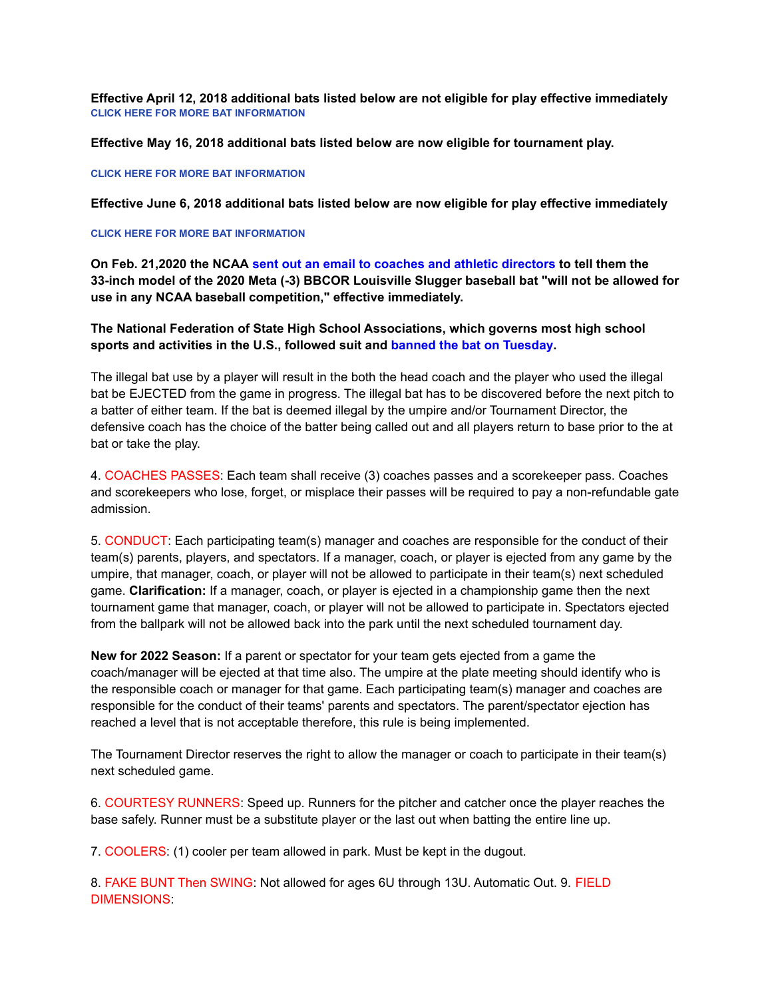**Effective April 12, 2018 additional bats listed below are not eligible for play effective immediately CLICK HERE FOR MORE BAT INFORMATION**

**Effective May 16, 2018 additional bats listed below are now eligible for tournament play.**

#### **CLICK HERE FOR MORE BAT INFORMATION**

**Effective June 6, 2018 additional bats listed below are now eligible for play effective immediately**

#### **CLICK HERE FOR MORE BAT INFORMATION**

**On Feb. 21,2020 the NCAA sent out an email to coaches and athletic directors to tell them the 33-inch model of the 2020 Meta (-3) BBCOR Louisville Slugger baseball bat "will not be allowed for use in any NCAA baseball competition," effective immediately.**

**The National Federation of State High School Associations, which governs most high school sports and activities in the U.S., followed suit and banned the bat on Tuesday.**

The illegal bat use by a player will result in the both the head coach and the player who used the illegal bat be EJECTED from the game in progress. The illegal bat has to be discovered before the next pitch to a batter of either team. If the bat is deemed illegal by the umpire and/or Tournament Director, the defensive coach has the choice of the batter being called out and all players return to base prior to the at bat or take the play.

4. COACHES PASSES: Each team shall receive (3) coaches passes and a scorekeeper pass. Coaches and scorekeepers who lose, forget, or misplace their passes will be required to pay a non-refundable gate admission.

5. CONDUCT: Each participating team(s) manager and coaches are responsible for the conduct of their team(s) parents, players, and spectators. If a manager, coach, or player is ejected from any game by the umpire, that manager, coach, or player will not be allowed to participate in their team(s) next scheduled game. **Clarification:** If a manager, coach, or player is ejected in a championship game then the next tournament game that manager, coach, or player will not be allowed to participate in. Spectators ejected from the ballpark will not be allowed back into the park until the next scheduled tournament day.

**New for 2022 Season:** If a parent or spectator for your team gets ejected from a game the coach/manager will be ejected at that time also. The umpire at the plate meeting should identify who is the responsible coach or manager for that game. Each participating team(s) manager and coaches are responsible for the conduct of their teams' parents and spectators. The parent/spectator ejection has reached a level that is not acceptable therefore, this rule is being implemented.

The Tournament Director reserves the right to allow the manager or coach to participate in their team(s) next scheduled game.

6. COURTESY RUNNERS: Speed up. Runners for the pitcher and catcher once the player reaches the base safely. Runner must be a substitute player or the last out when batting the entire line up.

7. COOLERS: (1) cooler per team allowed in park. Must be kept in the dugout.

8. FAKE BUNT Then SWING: Not allowed for ages 6U through 13U. Automatic Out. 9. FIELD DIMENSIONS: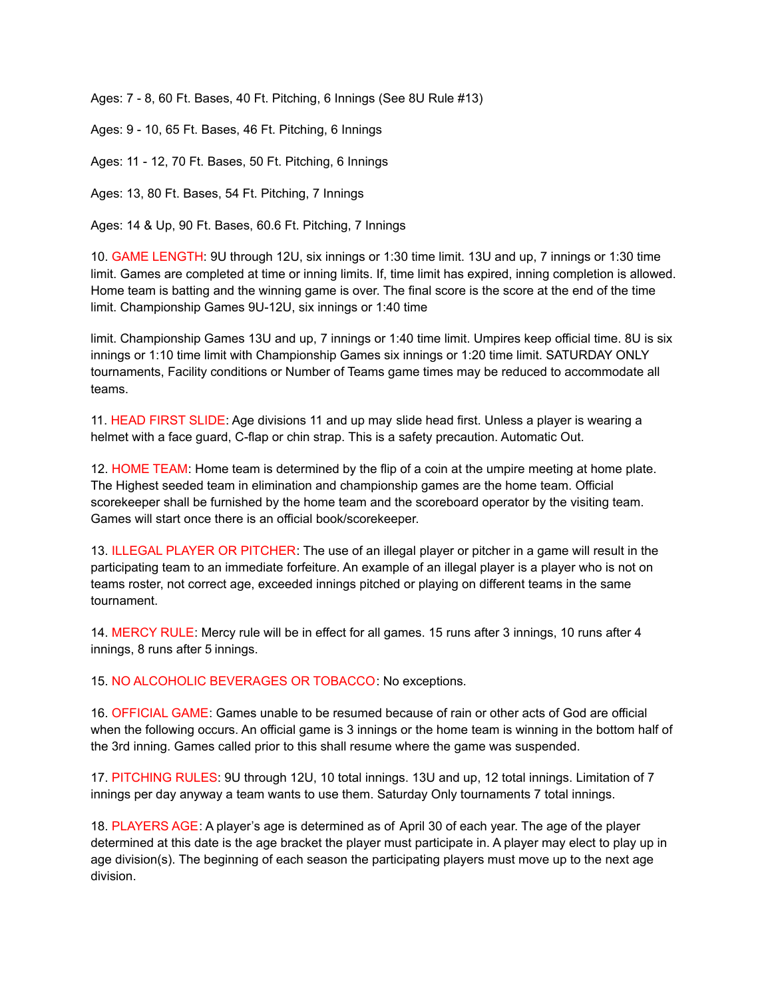Ages: 7 - 8, 60 Ft. Bases, 40 Ft. Pitching, 6 Innings (See 8U Rule #13)

Ages: 9 - 10, 65 Ft. Bases, 46 Ft. Pitching, 6 Innings

Ages: 11 - 12, 70 Ft. Bases, 50 Ft. Pitching, 6 Innings

Ages: 13, 80 Ft. Bases, 54 Ft. Pitching, 7 Innings

Ages: 14 & Up, 90 Ft. Bases, 60.6 Ft. Pitching, 7 Innings

10. GAME LENGTH: 9U through 12U, six innings or 1:30 time limit. 13U and up, 7 innings or 1:30 time limit. Games are completed at time or inning limits. If, time limit has expired, inning completion is allowed. Home team is batting and the winning game is over. The final score is the score at the end of the time limit. Championship Games 9U-12U, six innings or 1:40 time

limit. Championship Games 13U and up, 7 innings or 1:40 time limit. Umpires keep official time. 8U is six innings or 1:10 time limit with Championship Games six innings or 1:20 time limit. SATURDAY ONLY tournaments, Facility conditions or Number of Teams game times may be reduced to accommodate all teams.

11. HEAD FIRST SLIDE: Age divisions 11 and up may slide head first. Unless a player is wearing a helmet with a face guard, C-flap or chin strap. This is a safety precaution. Automatic Out.

12. HOME TEAM: Home team is determined by the flip of a coin at the umpire meeting at home plate. The Highest seeded team in elimination and championship games are the home team. Official scorekeeper shall be furnished by the home team and the scoreboard operator by the visiting team. Games will start once there is an official book/scorekeeper.

13. ILLEGAL PLAYER OR PITCHER: The use of an illegal player or pitcher in a game will result in the participating team to an immediate forfeiture. An example of an illegal player is a player who is not on teams roster, not correct age, exceeded innings pitched or playing on different teams in the same tournament.

14. MERCY RULE: Mercy rule will be in effect for all games. 15 runs after 3 innings, 10 runs after 4 innings, 8 runs after 5 innings.

15. NO ALCOHOLIC BEVERAGES OR TOBACCO: No exceptions.

16. OFFICIAL GAME: Games unable to be resumed because of rain or other acts of God are official when the following occurs. An official game is 3 innings or the home team is winning in the bottom half of the 3rd inning. Games called prior to this shall resume where the game was suspended.

17. PITCHING RULES: 9U through 12U, 10 total innings. 13U and up, 12 total innings. Limitation of 7 innings per day anyway a team wants to use them. Saturday Only tournaments 7 total innings.

18. PLAYERS AGE: A player's age is determined as of April 30 of each year. The age of the player determined at this date is the age bracket the player must participate in. A player may elect to play up in age division(s). The beginning of each season the participating players must move up to the next age division.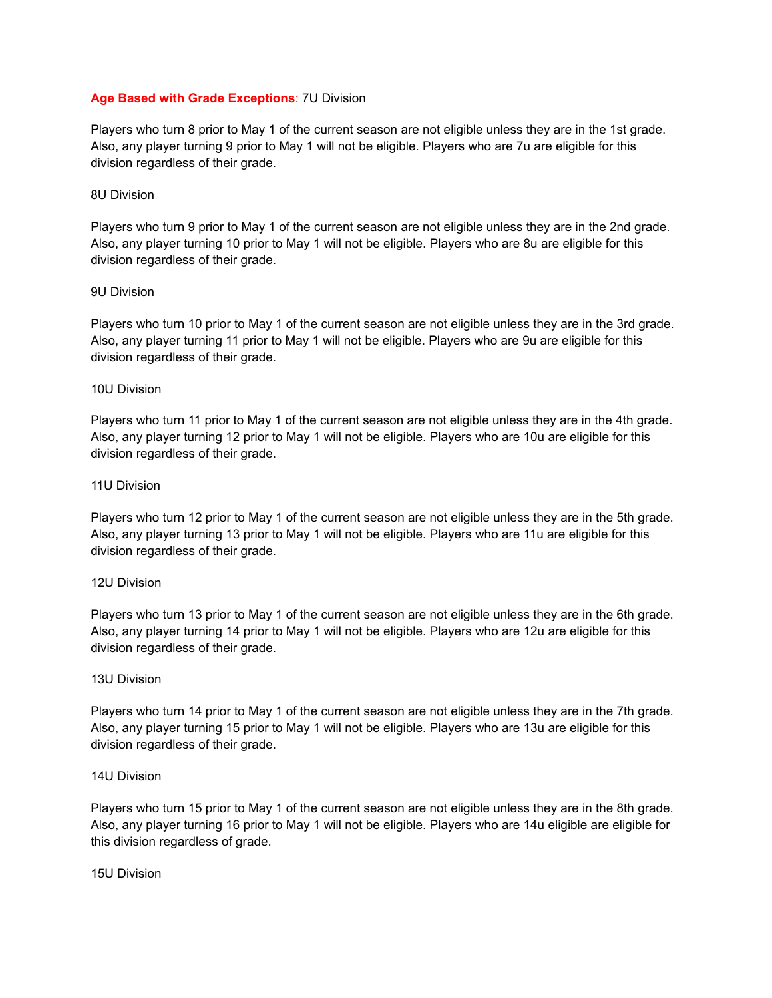# **Age Based with Grade Exceptions**: 7U Division

Players who turn 8 prior to May 1 of the current season are not eligible unless they are in the 1st grade. Also, any player turning 9 prior to May 1 will not be eligible. Players who are 7u are eligible for this division regardless of their grade.

## 8U Division

Players who turn 9 prior to May 1 of the current season are not eligible unless they are in the 2nd grade. Also, any player turning 10 prior to May 1 will not be eligible. Players who are 8u are eligible for this division regardless of their grade.

# 9U Division

Players who turn 10 prior to May 1 of the current season are not eligible unless they are in the 3rd grade. Also, any player turning 11 prior to May 1 will not be eligible. Players who are 9u are eligible for this division regardless of their grade.

# 10U Division

Players who turn 11 prior to May 1 of the current season are not eligible unless they are in the 4th grade. Also, any player turning 12 prior to May 1 will not be eligible. Players who are 10u are eligible for this division regardless of their grade.

### 11U Division

Players who turn 12 prior to May 1 of the current season are not eligible unless they are in the 5th grade. Also, any player turning 13 prior to May 1 will not be eligible. Players who are 11u are eligible for this division regardless of their grade.

### 12U Division

Players who turn 13 prior to May 1 of the current season are not eligible unless they are in the 6th grade. Also, any player turning 14 prior to May 1 will not be eligible. Players who are 12u are eligible for this division regardless of their grade.

### 13U Division

Players who turn 14 prior to May 1 of the current season are not eligible unless they are in the 7th grade. Also, any player turning 15 prior to May 1 will not be eligible. Players who are 13u are eligible for this division regardless of their grade.

# 14U Division

Players who turn 15 prior to May 1 of the current season are not eligible unless they are in the 8th grade. Also, any player turning 16 prior to May 1 will not be eligible. Players who are 14u eligible are eligible for this division regardless of grade.

## 15U Division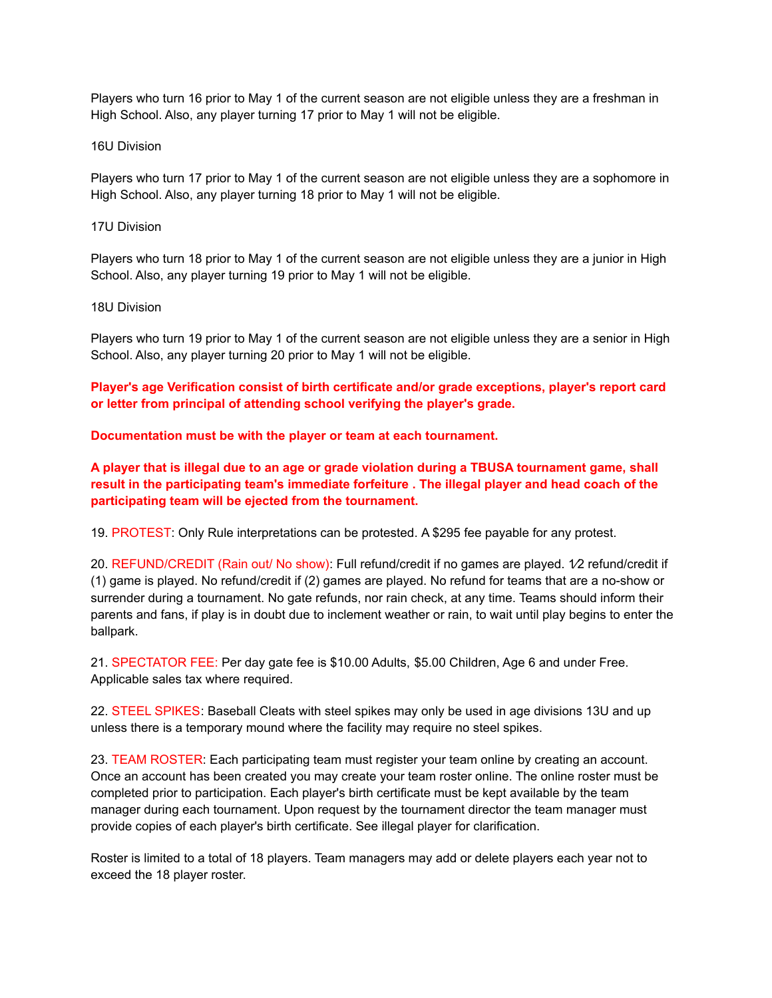Players who turn 16 prior to May 1 of the current season are not eligible unless they are a freshman in High School. Also, any player turning 17 prior to May 1 will not be eligible.

#### 16U Division

Players who turn 17 prior to May 1 of the current season are not eligible unless they are a sophomore in High School. Also, any player turning 18 prior to May 1 will not be eligible.

#### 17U Division

Players who turn 18 prior to May 1 of the current season are not eligible unless they are a junior in High School. Also, any player turning 19 prior to May 1 will not be eligible.

#### 18U Division

Players who turn 19 prior to May 1 of the current season are not eligible unless they are a senior in High School. Also, any player turning 20 prior to May 1 will not be eligible.

**Player's age Verification consist of birth certificate and/or grade exceptions, player's report card or letter from principal of attending school verifying the player's grade.**

### **Documentation must be with the player or team at each tournament.**

**A player that is illegal due to an age or grade violation during a TBUSA tournament game, shall result in the participating team's immediate forfeiture . The illegal player and head coach of the participating team will be ejected from the tournament.**

19. PROTEST: Only Rule interpretations can be protested. A \$295 fee payable for any protest.

20. REFUND/CREDIT (Rain out/ No show): Full refund/credit if no games are played. 1⁄2 refund/credit if (1) game is played. No refund/credit if (2) games are played. No refund for teams that are a no-show or surrender during a tournament. No gate refunds, nor rain check, at any time. Teams should inform their parents and fans, if play is in doubt due to inclement weather or rain, to wait until play begins to enter the ballpark.

21. SPECTATOR FEE: Per day gate fee is \$10.00 Adults, \$5.00 Children, Age 6 and under Free. Applicable sales tax where required.

22. STEEL SPIKES: Baseball Cleats with steel spikes may only be used in age divisions 13U and up unless there is a temporary mound where the facility may require no steel spikes.

23. TEAM ROSTER: Each participating team must register your team online by creating an account. Once an account has been created you may create your team roster online. The online roster must be completed prior to participation. Each player's birth certificate must be kept available by the team manager during each tournament. Upon request by the tournament director the team manager must provide copies of each player's birth certificate. See illegal player for clarification.

Roster is limited to a total of 18 players. Team managers may add or delete players each year not to exceed the 18 player roster.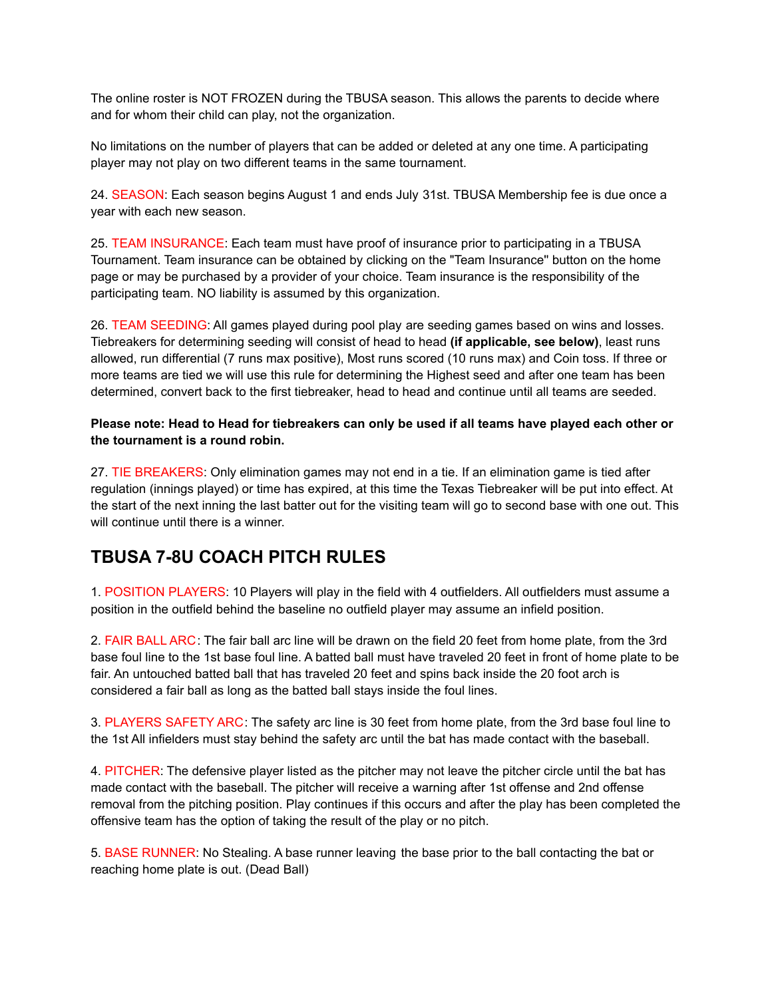The online roster is NOT FROZEN during the TBUSA season. This allows the parents to decide where and for whom their child can play, not the organization.

No limitations on the number of players that can be added or deleted at any one time. A participating player may not play on two different teams in the same tournament.

24. SEASON: Each season begins August 1 and ends July 31st. TBUSA Membership fee is due once a year with each new season.

25. TEAM INSURANCE: Each team must have proof of insurance prior to participating in a TBUSA Tournament. Team insurance can be obtained by clicking on the "Team Insurance'' button on the home page or may be purchased by a provider of your choice. Team insurance is the responsibility of the participating team. NO liability is assumed by this organization.

26. TEAM SEEDING: All games played during pool play are seeding games based on wins and losses. Tiebreakers for determining seeding will consist of head to head **(if applicable, see below)**, least runs allowed, run differential (7 runs max positive), Most runs scored (10 runs max) and Coin toss. If three or more teams are tied we will use this rule for determining the Highest seed and after one team has been determined, convert back to the first tiebreaker, head to head and continue until all teams are seeded.

Please note: Head to Head for tiebreakers can only be used if all teams have played each other or **the tournament is a round robin.**

27. TIE BREAKERS: Only elimination games may not end in a tie. If an elimination game is tied after regulation (innings played) or time has expired, at this time the Texas Tiebreaker will be put into effect. At the start of the next inning the last batter out for the visiting team will go to second base with one out. This will continue until there is a winner.

# **TBUSA 7-8U COACH PITCH RULES**

1. POSITION PLAYERS: 10 Players will play in the field with 4 outfielders. All outfielders must assume a position in the outfield behind the baseline no outfield player may assume an infield position.

2. FAIR BALL ARC: The fair ball arc line will be drawn on the field 20 feet from home plate, from the 3rd base foul line to the 1st base foul line. A batted ball must have traveled 20 feet in front of home plate to be fair. An untouched batted ball that has traveled 20 feet and spins back inside the 20 foot arch is considered a fair ball as long as the batted ball stays inside the foul lines.

3. PLAYERS SAFETY ARC: The safety arc line is 30 feet from home plate, from the 3rd base foul line to the 1st All infielders must stay behind the safety arc until the bat has made contact with the baseball.

4. PITCHER: The defensive player listed as the pitcher may not leave the pitcher circle until the bat has made contact with the baseball. The pitcher will receive a warning after 1st offense and 2nd offense removal from the pitching position. Play continues if this occurs and after the play has been completed the offensive team has the option of taking the result of the play or no pitch.

5. BASE RUNNER: No Stealing. A base runner leaving the base prior to the ball contacting the bat or reaching home plate is out. (Dead Ball)